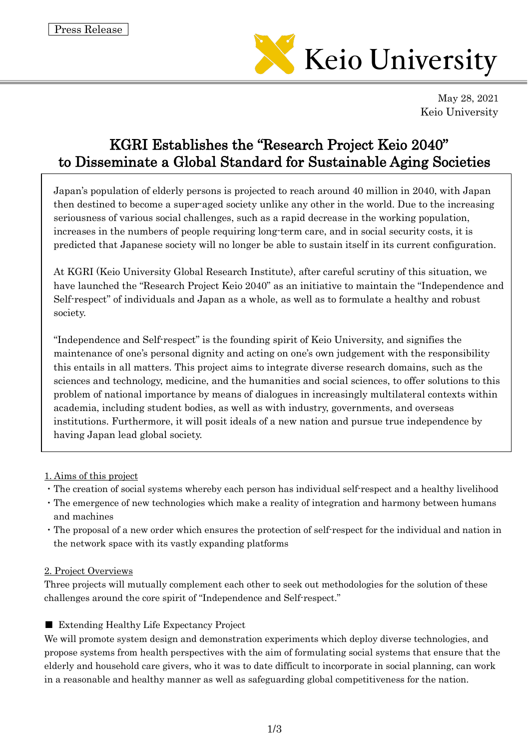

May 28, 2021 Keio University

# KGRI Establishes the "Research Project Keio 2040" to Disseminate a Global Standard for Sustainable Aging Societies

Japan's population of elderly persons is projected to reach around 40 million in 2040, with Japan then destined to become a super-aged society unlike any other in the world. Due to the increasing seriousness of various social challenges, such as a rapid decrease in the working population, increases in the numbers of people requiring long-term care, and in social security costs, it is predicted that Japanese society will no longer be able to sustain itself in its current configuration.

At KGRI (Keio University Global Research Institute), after careful scrutiny of this situation, we have launched the "Research Project Keio 2040" as an initiative to maintain the "Independence and Self-respect" of individuals and Japan as a whole, as well as to formulate a healthy and robust society.

"Independence and Self-respect" is the founding spirit of Keio University, and signifies the maintenance of one's personal dignity and acting on one's own judgement with the responsibility this entails in all matters. This project aims to integrate diverse research domains, such as the sciences and technology, medicine, and the humanities and social sciences, to offer solutions to this problem of national importance by means of dialogues in increasingly multilateral contexts within academia, including student bodies, as well as with industry, governments, and overseas institutions. Furthermore, it will posit ideals of a new nation and pursue true independence by having Japan lead global society.

#### 1. Aims of this project

- ・The creation of social systems whereby each person has individual self-respect and a healthy livelihood
- ・The emergence of new technologies which make a reality of integration and harmony between humans and machines
- ・The proposal of a new order which ensures the protection of self-respect for the individual and nation in the network space with its vastly expanding platforms

#### 2. Project Overviews

Three projects will mutually complement each other to seek out methodologies for the solution of these challenges around the core spirit of "Independence and Self-respect."

## ■ Extending Healthy Life Expectancy Project

We will promote system design and demonstration experiments which deploy diverse technologies, and propose systems from health perspectives with the aim of formulating social systems that ensure that the elderly and household care givers, who it was to date difficult to incorporate in social planning, can work in a reasonable and healthy manner as well as safeguarding global competitiveness for the nation.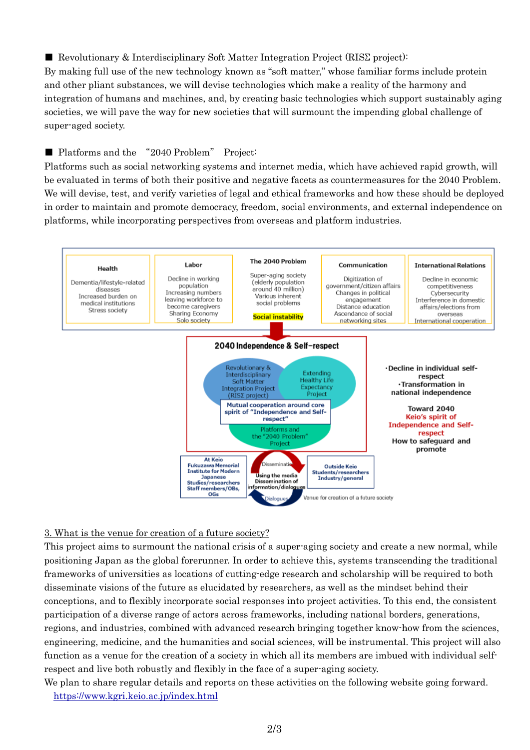## ■ Revolutionary & Interdisciplinary Soft Matter Integration Project (RISΣ project):

By making full use of the new technology known as "soft matter," whose familiar forms include protein and other pliant substances, we will devise technologies which make a reality of the harmony and integration of humans and machines, and, by creating basic technologies which support sustainably aging societies, we will pave the way for new societies that will surmount the impending global challenge of super-aged society.

## ■ Platforms and the "2040 Problem" Project:

Platforms such as social networking systems and internet media, which have achieved rapid growth, will be evaluated in terms of both their positive and negative facets as countermeasures for the 2040 Problem. We will devise, test, and verify varieties of legal and ethical frameworks and how these should be deployed in order to maintain and promote democracy, freedom, social environments, and external independence on platforms, while incorporating perspectives from overseas and platform industries.



#### 3. What is the venue for creation of a future society?

This project aims to surmount the national crisis of a super-aging society and create a new normal, while positioning Japan as the global forerunner. In order to achieve this, systems transcending the traditional frameworks of universities as locations of cutting-edge research and scholarship will be required to both disseminate visions of the future as elucidated by researchers, as well as the mindset behind their conceptions, and to flexibly incorporate social responses into project activities. To this end, the consistent participation of a diverse range of actors across frameworks, including national borders, generations, regions, and industries, combined with advanced research bringing together know-how from the sciences, engineering, medicine, and the humanities and social sciences, will be instrumental. This project will also function as a venue for the creation of a society in which all its members are imbued with individual selfrespect and live both robustly and flexibly in the face of a super-aging society.

We plan to share regular details and reports on these activities on the following website going forward. <https://www.kgri.keio.ac.jp/index.html>